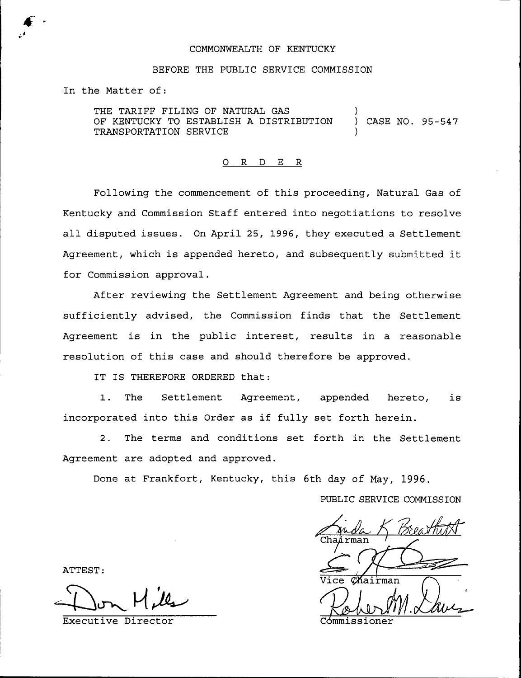## COMMONWEALTH OF KENTUCKY

### BEFORE THE PUBLIC SERVICE COMMISSION

In the Matter of:

THE TARIFF FILING OF NATURAL GAS OF KENTUCKY TO ESTABLISH <sup>A</sup> DISTRIBUTION ) CASE NO. 95-547 TRANSPORTATION SERVICE )

# 0 R <sup>D</sup> E R

Following the commencement of this proceeding, Natural Gas of Kentucky and Commission Staff entered into negotiations to resolve all disputed issues. On April 25, 1996, they executed a Settlement Agreement, which is appended hereto, and subsequently submitted it for Commission approval.

After reviewing the Settlement Agreement and being otherwise sufficiently advised, the Commission finds that the Settlement Agreement is in the public interest, results in a reasonable resolution of this case and should therefore be approved.

IT IS THEREFORE ORDERED that:

1. The Settlement Agreement, appended hereto, is incorporated into this Order as if fully set forth herein.

2. The terms and conditions set forth in the Settlement Agreement are adopted and approved.

Done at Frankfort, Kentucky, this 6th day of May, 1996.

PUBLIC SERVICE COMMISSION

K Breatht Arman  $\alpha$ Kairman

ATTEST: <sup>I</sup>

Executive Director **Executive Director** Commissioner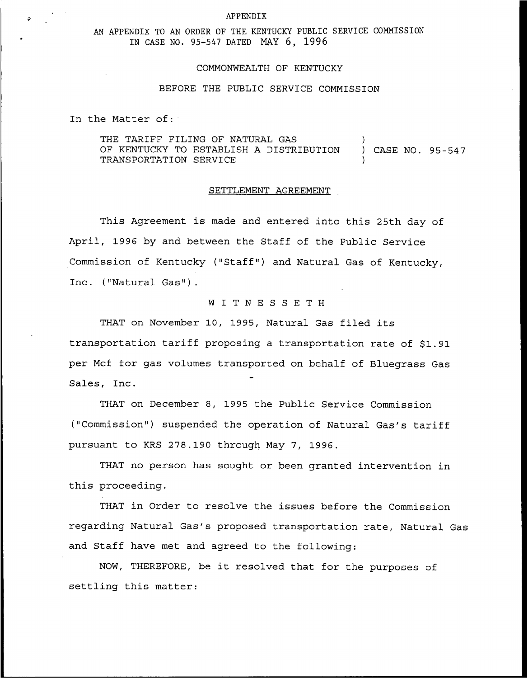#### APPENDIX

# AN APPENDIX TO AN ORDER OF THE KENTUCKY PUBLIC SERVICE CONMISSION IN CASE NO. 95-547 DATED MAY 6, 1996

### COMMONWEALTH OF KENTUCKY

### BEFORE THE PUBLIC SERVICE COMMISSION

In the Matter of:

THE TARIFF FILING OF NATURAL GAS OF KENTUCKY TO ESTABLISH <sup>A</sup> DISTRIBUTION ) CASE NO. 95-547 TRANSPORTATION SERVICE )

### SETTLEMENT AGREEMENT

This Agreement is made and entered into this 25th day of April, 1996 by and between the Staff of the Public Service Commission of Kentucky ("Staff") and Natural Gas of Kentucky, Inc. ("Natural Gas") .

# <sup>W</sup> I T <sup>N</sup> <sup>E</sup> S <sup>S</sup> <sup>E</sup> <sup>T</sup> <sup>H</sup>

THAT on November 10, 1995, Natural Gas filed its transportation tariff proposing a transportation rate of \$1.91 per Mcf for gas volumes transported on behalf of Bluegrass Gas Sales, Inc.

THAT on December 8, 1995 the Public Service Commission ("Commission") suspended the operation of Natural Gas's tariff pursuant to KRS 278.190 through May 7, 1996.

THAT no person has sought or been granted intervention in this proceeding.

THAT in Order to resolve the issues before the Commission regarding Natural Gas's proposed transportation rate, Natural Gas and Staff have met and agreed to the following:

NOW, THEREFORE, be it resolved that for the purposes of settling this matter: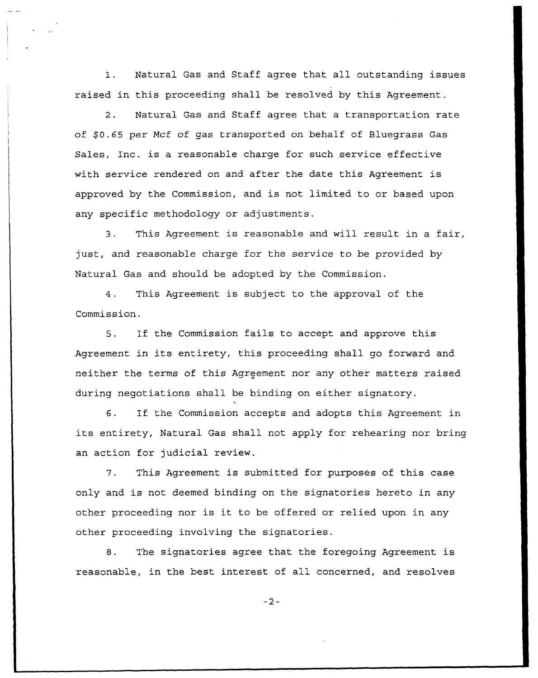1. Natural Gas and Staff agree that all outstanding issues raised in this proceeding shall be resolved by this Agreement.

2. Natural Gas and Staff agree that a transportation rate of \$0.65 per Mcf of gas transported on behalf of Bluegrass Gas Sales, Inc. is a reasonable charge for such service effective with service rendered on and after the date this Agreement is approved by the Commission, and is not limited to or based upon any specific methodology or adjustments.

3. This Agreement is reasonable and will result in <sup>a</sup> fair, just, and reasonable charge for the service to be provided by Natural Gas and should be adopted by the Commission.

4. This Agreement is subject to the approval of the Commission.

 $5.$ If the Commission fails to accept and approve this Agreement in its entirety, this proceeding shall go forward and neither the terms of this Agreement nor any other matters raised during negotiations shall be binding on either signatory.

6. If the Commission accepts and adopts this Agreement in its entirety, Natural Gas shall not apply for rehearing nor bring an action for judicial review.

7. This Agreement is submitted for purposes of this case only and is not deemed binding on the signatories hereto in any other proceeding nor is it to be offered or relied upon in any other proceeding involving the signatories.

8. The signatories agree that the foregoing Agreement is reasonable, in the best interest of all concerned, and resolves

 $-2-$